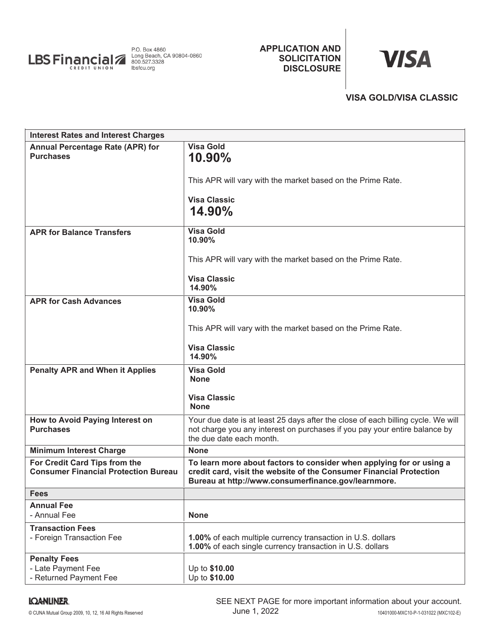

## **APPLICATION AND SOLICITATION DISCLOSURE**

# **VISA**

## **VISA GOLD/VISA CLASSIC**

| <b>Interest Rates and Interest Charges</b>                                   |                                                                                                                                                                                                    |
|------------------------------------------------------------------------------|----------------------------------------------------------------------------------------------------------------------------------------------------------------------------------------------------|
| <b>Annual Percentage Rate (APR) for</b><br><b>Purchases</b>                  | <b>Visa Gold</b><br>10.90%                                                                                                                                                                         |
|                                                                              | This APR will vary with the market based on the Prime Rate.                                                                                                                                        |
|                                                                              | <b>Visa Classic</b><br>14.90%                                                                                                                                                                      |
| <b>APR for Balance Transfers</b>                                             | <b>Visa Gold</b><br>10.90%                                                                                                                                                                         |
|                                                                              | This APR will vary with the market based on the Prime Rate.                                                                                                                                        |
|                                                                              | <b>Visa Classic</b><br>14.90%                                                                                                                                                                      |
| <b>APR for Cash Advances</b>                                                 | <b>Visa Gold</b><br>10.90%                                                                                                                                                                         |
|                                                                              | This APR will vary with the market based on the Prime Rate.                                                                                                                                        |
|                                                                              | <b>Visa Classic</b><br>14.90%                                                                                                                                                                      |
| <b>Penalty APR and When it Applies</b>                                       | <b>Visa Gold</b><br><b>None</b>                                                                                                                                                                    |
|                                                                              | <b>Visa Classic</b><br><b>None</b>                                                                                                                                                                 |
| How to Avoid Paying Interest on<br><b>Purchases</b>                          | Your due date is at least 25 days after the close of each billing cycle. We will<br>not charge you any interest on purchases if you pay your entire balance by<br>the due date each month.         |
| <b>Minimum Interest Charge</b>                                               | <b>None</b>                                                                                                                                                                                        |
| For Credit Card Tips from the<br><b>Consumer Financial Protection Bureau</b> | To learn more about factors to consider when applying for or using a<br>credit card, visit the website of the Consumer Financial Protection<br>Bureau at http://www.consumerfinance.gov/learnmore. |
| <b>Fees</b>                                                                  |                                                                                                                                                                                                    |
| <b>Annual Fee</b>                                                            |                                                                                                                                                                                                    |
| - Annual Fee                                                                 | <b>None</b>                                                                                                                                                                                        |
| <b>Transaction Fees</b><br>- Foreign Transaction Fee                         | 1.00% of each multiple currency transaction in U.S. dollars<br>1.00% of each single currency transaction in U.S. dollars                                                                           |
| <b>Penalty Fees</b><br>- Late Payment Fee<br>- Returned Payment Fee          | Up to \$10.00<br>Up to \$10.00                                                                                                                                                                     |

## **IQANLINER.**